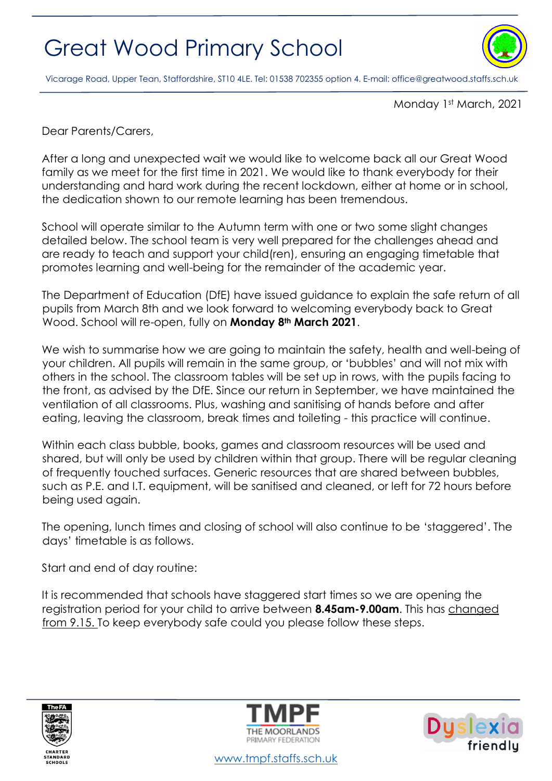

Vicarage Road, Upper Tean, Staffordshire, ST10 4LE. Tel: 01538 702355 option 4. E-mail[: office@greatwood.staffs.sch.uk](mailto:office@greatwood.staffs.sch.uk)

Monday 1st March, 2021

Dear Parents/Carers,

After a long and unexpected wait we would like to welcome back all our Great Wood family as we meet for the first time in 2021. We would like to thank everybody for their understanding and hard work during the recent lockdown, either at home or in school, the dedication shown to our remote learning has been tremendous.

School will operate similar to the Autumn term with one or two some slight changes detailed below. The school team is very well prepared for the challenges ahead and are ready to teach and support your child(ren), ensuring an engaging timetable that promotes learning and well-being for the remainder of the academic year.

The Department of Education (DfE) have issued guidance to explain the safe return of all pupils from March 8th and we look forward to welcoming everybody back to Great Wood. School will re-open, fully on **Monday 8th March 2021**.

We wish to summarise how we are going to maintain the safety, health and well-being of your children. All pupils will remain in the same group, or 'bubbles' and will not mix with others in the school. The classroom tables will be set up in rows, with the pupils facing to the front, as advised by the DfE. Since our return in September, we have maintained the ventilation of all classrooms. Plus, washing and sanitising of hands before and after eating, leaving the classroom, break times and toileting - this practice will continue.

Within each class bubble, books, games and classroom resources will be used and shared, but will only be used by children within that group. There will be regular cleaning of frequently touched surfaces. Generic resources that are shared between bubbles, such as P.E. and I.T. equipment, will be sanitised and cleaned, or left for 72 hours before being used again.

The opening, lunch times and closing of school will also continue to be 'staggered'. The days' timetable is as follows.

Start and end of day routine:

It is recommended that schools have staggered start times so we are opening the registration period for your child to arrive between **8.45am-9.00am**. This has changed from 9.15. To keep everybody safe could you please follow these steps.







[www.tmpf.staffs.sch.uk](http://www.tmpf.staffs.sch.uk/)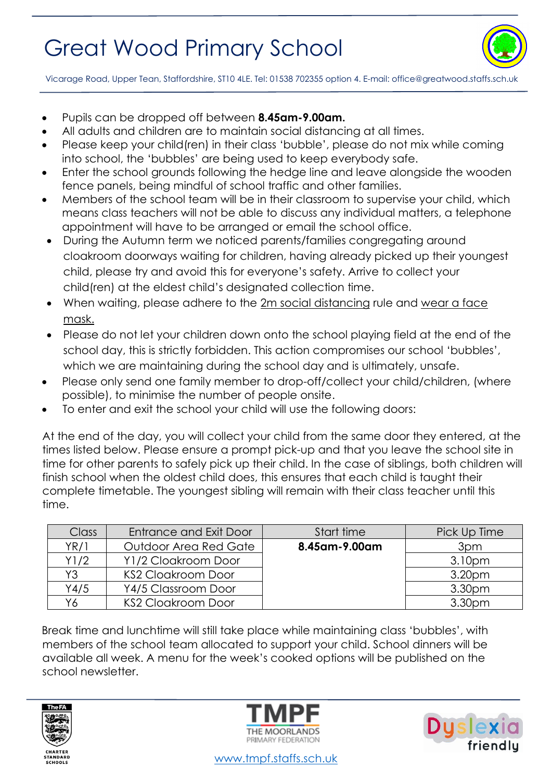

Vicarage Road, Upper Tean, Staffordshire, ST10 4LE. Tel: 01538 702355 option 4. E-mail[: office@greatwood.staffs.sch.uk](mailto:office@greatwood.staffs.sch.uk)

- Pupils can be dropped off between **8.45am-9.00am.**
- All adults and children are to maintain social distancing at all times.
- Please keep your child(ren) in their class 'bubble', please do not mix while coming into school, the 'bubbles' are being used to keep everybody safe.
- Enter the school grounds following the hedge line and leave alongside the wooden fence panels, being mindful of school traffic and other families.
- Members of the school team will be in their classroom to supervise your child, which means class teachers will not be able to discuss any individual matters, a telephone appointment will have to be arranged or email the school office.
- During the Autumn term we noticed parents/families congregating around cloakroom doorways waiting for children, having already picked up their youngest child, please try and avoid this for everyone's safety. Arrive to collect your child(ren) at the eldest child's designated collection time.
- When waiting, please adhere to the 2m social distancing rule and wear a face mask.
- Please do not let your children down onto the school playing field at the end of the school day, this is strictly forbidden. This action compromises our school 'bubbles', which we are maintaining during the school day and is ultimately, unsafe.
- Please only send one family member to drop-off/collect your child/children, (where possible), to minimise the number of people onsite.
- To enter and exit the school your child will use the following doors:

At the end of the day, you will collect your child from the same door they entered, at the times listed below. Please ensure a prompt pick-up and that you leave the school site in time for other parents to safely pick up their child. In the case of siblings, both children will finish school when the oldest child does, this ensures that each child is taught their complete timetable. The youngest sibling will remain with their class teacher until this time.

| <b>Class</b> | Entrance and Exit Door    | Start time    | Pick Up Time       |
|--------------|---------------------------|---------------|--------------------|
| YR/1         | Outdoor Area Red Gate     | 8.45am-9.00am | 3pm                |
| Y1/2         | Y1/2 Cloakroom Door       |               | 3.10pm             |
| Y3           | <b>KS2 Cloakroom Door</b> |               | 3.20pm             |
| Y4/5         | Y4/5 Classroom Door       |               | 3.30 <sub>pm</sub> |
| Υ6           | <b>KS2 Cloakroom Door</b> |               | 3.30pm             |

Break time and lunchtime will still take place while maintaining class 'bubbles', with members of the school team allocated to support your child. School dinners will be available all week. A menu for the week's cooked options will be published on the school newsletter.







[www.tmpf.staffs.sch.uk](http://www.tmpf.staffs.sch.uk/)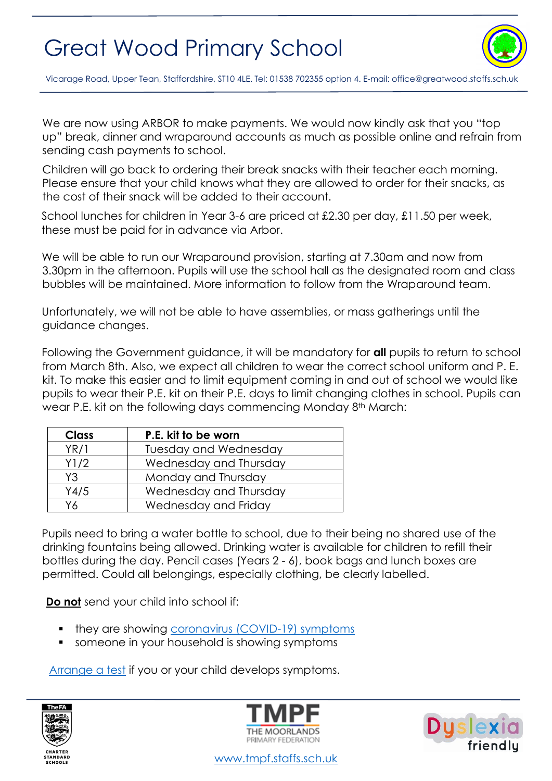

Vicarage Road, Upper Tean, Staffordshire, ST10 4LE. Tel: 01538 702355 option 4. E-mail[: office@greatwood.staffs.sch.uk](mailto:office@greatwood.staffs.sch.uk)

We are now using ARBOR to make payments. We would now kindly ask that you "top up" break, dinner and wraparound accounts as much as possible online and refrain from sending cash payments to school.

Children will go back to ordering their break snacks with their teacher each morning. Please ensure that your child knows what they are allowed to order for their snacks, as the cost of their snack will be added to their account.

 School lunches for children in Year 3-6 are priced at £2.30 per day, £11.50 per week, these must be paid for in advance via Arbor.

We will be able to run our Wraparound provision, starting at 7.30am and now from 3.30pm in the afternoon. Pupils will use the school hall as the designated room and class bubbles will be maintained. More information to follow from the Wraparound team.

Unfortunately, we will not be able to have assemblies, or mass gatherings until the guidance changes.

Following the Government guidance, it will be mandatory for **all** pupils to return to school from March 8th. Also, we expect all children to wear the correct school uniform and P. E. kit. To make this easier and to limit equipment coming in and out of school we would like pupils to wear their P.E. kit on their P.E. days to limit changing clothes in school. Pupils can wear P.E. kit on the following days commencing Monday 8<sup>th</sup> March:

| <b>Class</b> | P.E. kit to be worn          |
|--------------|------------------------------|
| YR/1         | <b>Tuesday and Wednesday</b> |
| Y1/2         | Wednesday and Thursday       |
| Y3           | Monday and Thursday          |
| Y4/5         | Wednesday and Thursday       |
| Y6           | Wednesday and Friday         |

Pupils need to bring a water bottle to school, due to their being no shared use of the drinking fountains being allowed. Drinking water is available for children to refill their bottles during the day. Pencil cases (Years 2 - 6), book bags and lunch boxes are permitted. Could all belongings, especially clothing, be clearly labelled.

**Do not** send your child into school if:

- they are showing [coronavirus \(COVID-19\) symptoms](https://www.nhs.uk/conditions/coronavirus-covid-19/symptoms/)
- someone in your household is showing symptoms

[Arrange a test](https://www.nhs.uk/conditions/coronavirus-covid-19/testing-and-tracing/) if you or your child develops symptoms.







[www.tmpf.staffs.sch.uk](http://www.tmpf.staffs.sch.uk/)